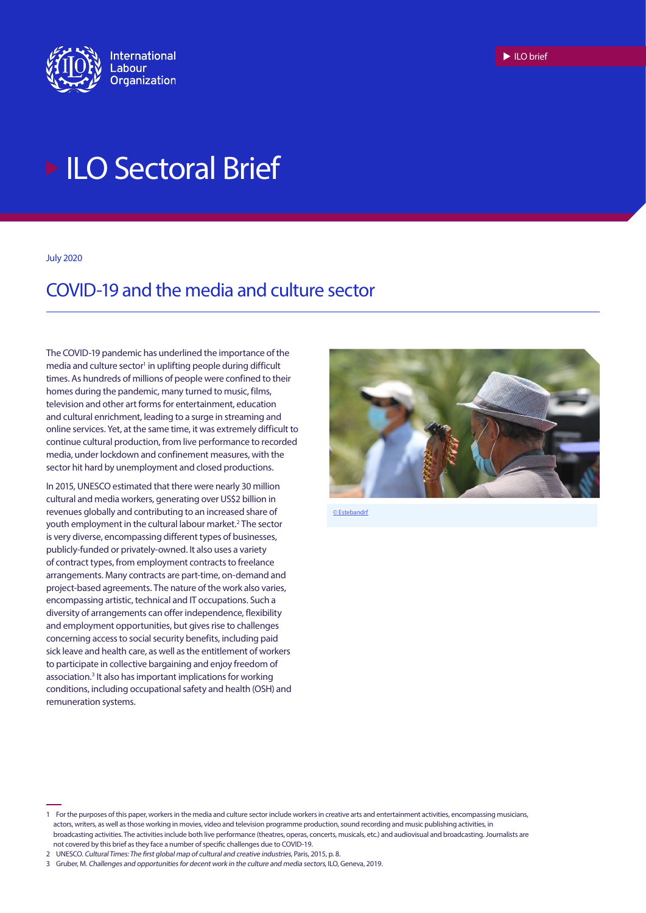

# **ILO Sectoral Brief**

July 2020

# COVID-19 and the media and culture sector

The COVID-19 pandemic has underlined the importance of the media and culture sector<sup>1</sup> in uplifting people during difficult times. As hundreds of millions of people were confined to their homes during the pandemic, many turned to music, films, television and other art forms for entertainment, education and cultural enrichment, leading to a surge in streaming and online services. Yet, at the same time, it was extremely difficult to continue cultural production, from live performance to recorded media, under lockdown and confinement measures, with the sector hit hard by unemployment and closed productions.

In 2015, UNESCO estimated that there were nearly 30 million cultural and media workers, generating over US\$2 billion in revenues globally and contributing to an increased share of youth employment in the cultural labour market.<sup>2</sup> The sector is very diverse, encompassing different types of businesses, publicly-funded or privately-owned. It also uses a variety of contract types, from employment contracts to freelance arrangements. Many contracts are part-time, on-demand and project-based agreements. The nature of the work also varies, encompassing artistic, technical and IT occupations. Such a diversity of arrangements can offer independence, flexibility and employment opportunities, but gives rise to challenges concerning access to social security benefits, including paid sick leave and health care, as well as the entitlement of workers to participate in collective bargaining and enjoy freedom of association.<sup>3</sup> It also has important implications for working conditions, including occupational safety and health (OSH) and remuneration systems.



[© Estebandrf](https://pixabay.com/de/photos/coronavirus-covid-19-maske-virus-5260995/)

 $\blacktriangleright$  ILO brief

<sup>1</sup> For the purposes of this paper, workers in the media and culture sector include workers in creative arts and entertainment activities, encompassing musicians, actors, writers, as well as those working in movies, video and television programme production, sound recording and music publishing activities, in broadcasting activities. The activities include both live performance (theatres, operas, concerts, musicals, etc.) and audiovisual and broadcasting. Journalists are not covered by this brief as they face a number of specific challenges due to COVID-19.

<sup>2</sup> UNESCO. Cultural Times: The first global map of cultural and creative industries, Paris, 2015, p. 8.

<sup>3</sup> Gruber, M. Challenges and opportunities for decent work in the culture and media sectors, ILO, Geneva, 2019.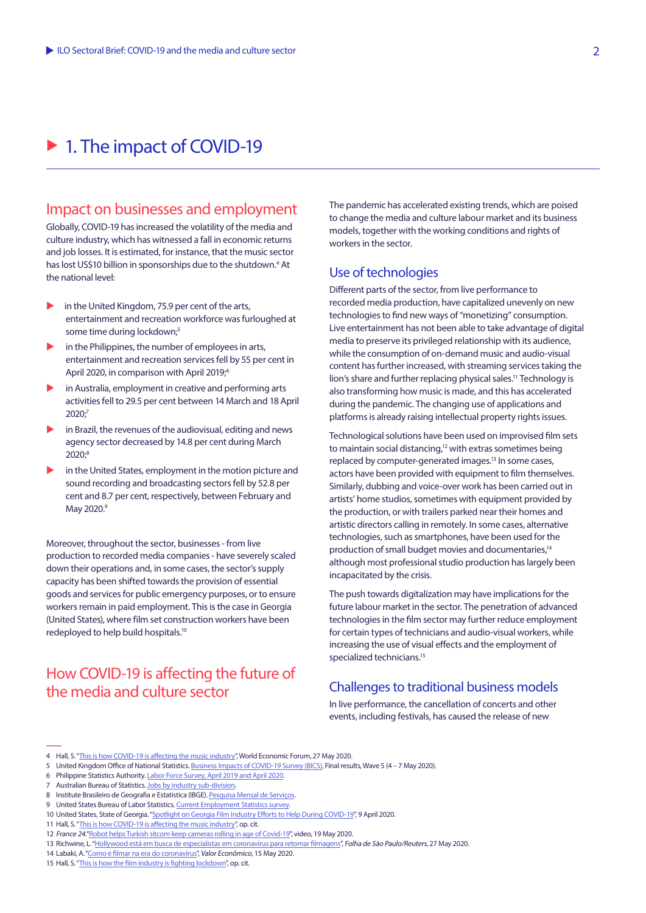# ▶ 1. The impact of COVID-19

### Impact on businesses and employment

Globally, COVID-19 has increased the volatility of the media and culture industry, which has witnessed a fall in economic returns and job losses. It is estimated, for instance, that the music sector has lost US\$10 billion in sponsorships due to the shutdown.<sup>4</sup> At the national level:

- in the United Kingdom, 75.9 per cent of the arts, entertainment and recreation workforce was furloughed at some time during lockdown;<sup>5</sup>
- in the Philippines, the number of employees in arts, entertainment and recreation services fell by 55 per cent in April 2020, in comparison with April 2019;<sup>6</sup>
- in Australia, employment in creative and performing arts activities fell to 29.5 per cent between 14 March and 18 April  $2020<sup>3</sup>$
- in Brazil, the revenues of the audiovisual, editing and news agency sector decreased by 14.8 per cent during March 2020;<sup>8</sup>
- in the United States, employment in the motion picture and sound recording and broadcasting sectors fell by 52.8 per cent and 8.7 per cent, respectively, between February and May 2020.<sup>9</sup>

Moreover, throughout the sector, businesses - from live production to recorded media companies - have severely scaled down their operations and, in some cases, the sector's supply capacity has been shifted towards the provision of essential goods and services for public emergency purposes, or to ensure workers remain in paid employment. This is the case in Georgia (United States), where film set construction workers have been redeployed to help build hospitals.10

# How COVID-19 is affecting the future of the media and culture sector

The pandemic has accelerated existing trends, which are poised to change the media and culture labour market and its business models, together with the working conditions and rights of workers in the sector.

#### Use of technologies

Different parts of the sector, from live performance to recorded media production, have capitalized unevenly on new technologies to find new ways of "monetizing" consumption. Live entertainment has not been able to take advantage of digital media to preserve its privileged relationship with its audience, while the consumption of on-demand music and audio-visual content has further increased, with streaming services taking the lion's share and further replacing physical sales.<sup>11</sup> Technology is also transforming how music is made, and this has accelerated during the pandemic. The changing use of applications and platforms is already raising intellectual property rights issues.

Technological solutions have been used on improvised film sets to maintain social distancing,<sup>12</sup> with extras sometimes being replaced by computer-generated images.<sup>13</sup> In some cases, actors have been provided with equipment to film themselves. Similarly, dubbing and voice-over work has been carried out in artists' home studios, sometimes with equipment provided by the production, or with trailers parked near their homes and artistic directors calling in remotely. In some cases, alternative technologies, such as smartphones, have been used for the production of small budget movies and documentaries,<sup>14</sup> although most professional studio production has largely been incapacitated by the crisis.

The push towards digitalization may have implications for the future labour market in the sector. The penetration of advanced technologies in the film sector may further reduce employment for certain types of technicians and audio-visual workers, while increasing the use of visual effects and the employment of specialized technicians.<sup>15</sup>

#### Challenges to traditional business models

In live performance, the cancellation of concerts and other events, including festivals, has caused the release of new

<sup>4</sup> Hall, S. "[This is how COVID-19 is affecting the music industry"](https://www.weforum.org/agenda/2020/05/this-is-how-covid-19-is-affecting-the-music-industry/), World Economic Forum, 27 May 2020.

<sup>5</sup> United Kingdom Office of National Statistics. [Business Impacts of COVID-19 Survey \(BICS\),](https://www.ons.gov.uk/economy/economicoutputandproductivity/output/datasets/businessimpactofcovid19surveybicsresults) Final results, Wave 5 (4 – 7 May 2020).

<sup>6</sup> Philippine Statistics Authority. [Labor Force Survey, April 2019 and April 2020](https://psa.gov.ph/system/files/TABLE 2   Employed Persons by Sector%2C Subsector%2C and Hours Worked%2C Philippines April 2019 and April 2020.xlsx).

Australian Bureau of Statistics. [Jobs by industry sub-division.](https://www.abs.gov.au/ausstats/abs@.nsf/Latestproducts/6160.0.55.001Main Features7Week ending 2 May 2020?opendocument&tabname=Summary&prodno=6160.0.55.001&issue=Week%20ending%202%20May%202020&num=&view=)

<sup>8</sup> Institute Brasileiro de Geografia e Estatistica (IBGE). [Pesquisa Mensal de Serviços](https://sidra.ibge.gov.br/tabela/6443#resultado).

<sup>9</sup> United States Bureau of Labor Statistics. [Current Employment Statistics survey](https://beta.bls.gov/dataQuery/find?st=0&r=20&fq=survey:%5bce%5d&more=0).

<sup>10</sup> United States, State of Georgia. ["Spotlight on Georgia Film Industry Efforts to Help During COVID-19](https://www.georgia.org/newsroom/blogs/spotlight-georgia-film-industry-efforts-help-during-covid-19)", 9 April 2020.

<sup>11</sup> Hall, S. "[This is how COVID-19 is affecting the music industry"](https://www.weforum.org/agenda/2020/05/this-is-how-covid-19-is-affecting-the-music-industry/), op. cit.

<sup>12</sup> France 24.["Robot helps Turkish sitcom keep cameras rolling in age of Covid-19](https://www.youtube.com/watch?v=wyhW4uDURPI)", video, 19 May 2020.

<sup>13</sup> Richwine, L. ["Hollywood está em busca de especialistas em coronavírus para retomar filmagens"](https://www1.folha.uol.com.br/ilustrada/2020/05/hollywood-busca-especialistas-em-coronavirus-para-retomar-filmagens.shtml), Folha de São Paulo/Reuters, 27 May 2020.

<sup>14</sup> Labaki, A. ["Como é filmar na era do coronavírus](https://valor.globo.com/eu-e/coluna/amir-labaki-como-e-filmar-na-era-do-coronavirus.ghtml)", Valor Econômico, 15 May 2020.

<sup>15</sup> Hall, S. "[This is how the film industry is fighting lockdown](https://www.weforum.org/agenda/2020/05/this-is-how-the-film-industry-is-fighting-lockdown/)", op. cit.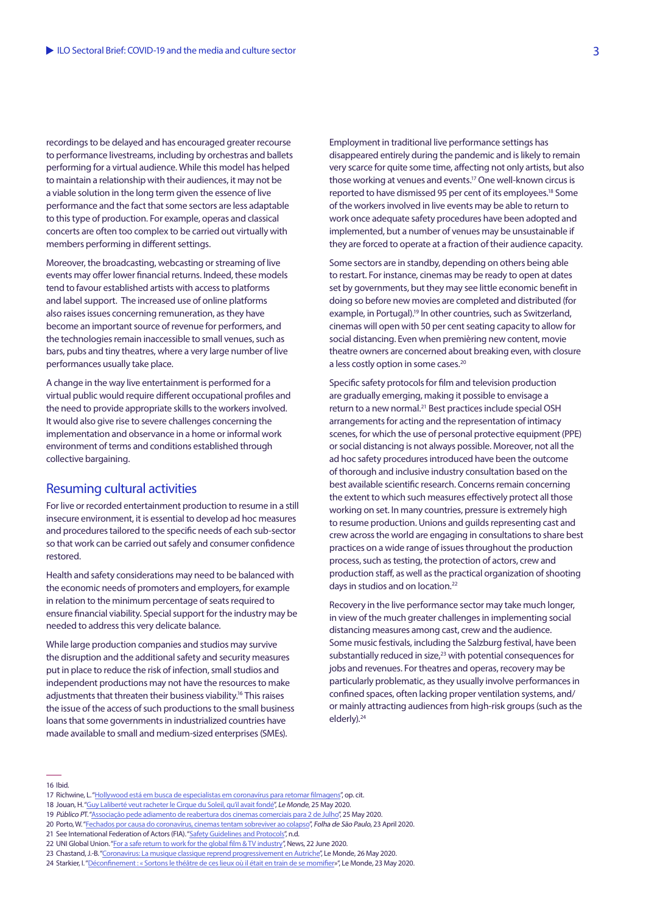recordings to be delayed and has encouraged greater recourse to performance livestreams, including by orchestras and ballets performing for a virtual audience. While this model has helped to maintain a relationship with their audiences, it may not be a viable solution in the long term given the essence of live performance and the fact that some sectors are less adaptable to this type of production. For example, operas and classical concerts are often too complex to be carried out virtually with members performing in different settings.

Moreover, the broadcasting, webcasting or streaming of live events may offer lower financial returns. Indeed, these models tend to favour established artists with access to platforms and label support. The increased use of online platforms also raises issues concerning remuneration, as they have become an important source of revenue for performers, and the technologies remain inaccessible to small venues, such as bars, pubs and tiny theatres, where a very large number of live performances usually take place.

A change in the way live entertainment is performed for a virtual public would require different occupational profiles and the need to provide appropriate skills to the workers involved. It would also give rise to severe challenges concerning the implementation and observance in a home or informal work environment of terms and conditions established through collective bargaining.

#### Resuming cultural activities

For live or recorded entertainment production to resume in a still insecure environment, it is essential to develop ad hoc measures and procedures tailored to the specific needs of each sub-sector so that work can be carried out safely and consumer confidence restored.

Health and safety considerations may need to be balanced with the economic needs of promoters and employers, for example in relation to the minimum percentage of seats required to ensure financial viability. Special support for the industry may be needed to address this very delicate balance.

While large production companies and studios may survive the disruption and the additional safety and security measures put in place to reduce the risk of infection, small studios and independent productions may not have the resources to make adjustments that threaten their business viability.16 This raises the issue of the access of such productions to the small business loans that some governments in industrialized countries have made available to small and medium-sized enterprises (SMEs).

Employment in traditional live performance settings has disappeared entirely during the pandemic and is likely to remain very scarce for quite some time, affecting not only artists, but also those working at venues and events.<sup>17</sup> One well-known circus is reported to have dismissed 95 per cent of its employees.<sup>18</sup> Some of the workers involved in live events may be able to return to work once adequate safety procedures have been adopted and implemented, but a number of venues may be unsustainable if they are forced to operate at a fraction of their audience capacity.

Some sectors are in standby, depending on others being able to restart. For instance, cinemas may be ready to open at dates set by governments, but they may see little economic benefit in doing so before new movies are completed and distributed (for example, in Portugal).<sup>19</sup> In other countries, such as Switzerland, cinemas will open with 50 per cent seating capacity to allow for social distancing. Even when premièring new content, movie theatre owners are concerned about breaking even, with closure a less costly option in some cases.<sup>20</sup>

Specific safety protocols for film and television production are gradually emerging, making it possible to envisage a return to a new normal.<sup>21</sup> Best practices include special OSH arrangements for acting and the representation of intimacy scenes, for which the use of personal protective equipment (PPE) or social distancing is not always possible. Moreover, not all the ad hoc safety procedures introduced have been the outcome of thorough and inclusive industry consultation based on the best available scientific research. Concerns remain concerning the extent to which such measures effectively protect all those working on set. In many countries, pressure is extremely high to resume production. Unions and guilds representing cast and crew across the world are engaging in consultations to share best practices on a wide range of issues throughout the production process, such as testing, the protection of actors, crew and production staff, as well as the practical organization of shooting days in studios and on location.<sup>22</sup>

Recovery in the live performance sector may take much longer, in view of the much greater challenges in implementing social distancing measures among cast, crew and the audience. Some music festivals, including the Salzburg festival, have been substantially reduced in size,<sup>23</sup> with potential consequences for jobs and revenues. For theatres and operas, recovery may be particularly problematic, as they usually involve performances in confined spaces, often lacking proper ventilation systems, and/ or mainly attracting audiences from high-risk groups (such as the elderly).24

16 Ibid.

23 Chastand, J.-B. ["Coronavirus: La musique classique reprend progressivement en Autriche"](https://www.lemonde.fr/musiques/article/2020/05/26/coronavirus-la-musique-classique-reprend-en-autriche_6040775_1654986.html), Le Monde, 26 May 2020.

<sup>17</sup> Richwine, L. ["Hollywood está em busca de especialistas em coronavírus para retomar filmagens"](https://www1.folha.uol.com.br/ilustrada/2020/05/hollywood-busca-especialistas-em-coronavirus-para-retomar-filmagens.shtml), op. cit.

<sup>18</sup> Jouan, H. ["Guy Laliberté veut racheter le Cirque du Soleil, qu'il avait fondé"](https://www.lemonde.fr/economie/article/2020/05/25/guy-laliberte-veut-racheter-le-cirque-du-soleil-qu-il-avait-fonde_6040700_3234.html), Le Monde, 25 May 2020.

<sup>19</sup> Público PT. ["Associação pede adiamento de reabertura dos cinemas comerciais para 2 de Julho](https://www.publico.pt/2020/05/25/culturaipsilon/noticia/associacao-pede-adiamento-reabertura-salas-comercial-cinema-2-julho-1917979)", 25 May 2020.

<sup>20</sup> Porto, W. ["Fechados por causa do coronavírus, cinemas tentam sobreviver ao colapso](https://www1.folha.uol.com.br/ilustrada/2020/04/fechados-por-causa-do-coronavirus-cinemas-tentam-sobreviver-ao-colapso.shtml)", Folha de São Paulo, 23 April 2020.

<sup>21</sup> See International Federation of Actors (FIA). "[Safety Guidelines and Protocols](https://fia-actors.com/resources/covid19-crisis/safety-guidelines-and-protocols)", n.d.

<sup>22</sup> UNI Global Union. ["For a safe return to work for the global film & TV industry"](https://www.uniglobalunion.org/news/a-safe-return-work-global-film-tv-industry), News, 22 June 2020.

<sup>24</sup> Starkier, I. ["Déconfinement : « Sortons le théâtre de ces lieux où il était en train de se momifier](https://www.lemonde.fr/idees/article/2020/05/23/deconfinement-sortons-le-theatre-de-ces-lieux-ou-il-etait-en-train-de-se-momifier_6040548_3232.html)»", Le Monde, 23 May 2020.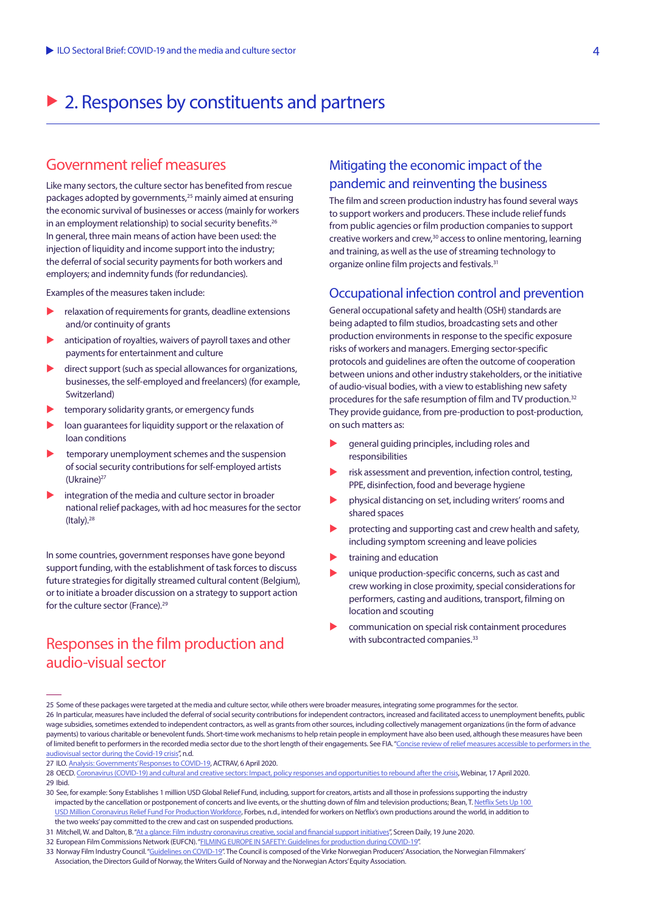# $\triangleright$  2. Responses by constituents and partners

## Government relief measures

Like many sectors, the culture sector has benefited from rescue packages adopted by governments,25 mainly aimed at ensuring the economic survival of businesses or access (mainly for workers in an employment relationship) to social security benefits.<sup>26</sup> In general, three main means of action have been used: the injection of liquidity and income support into the industry; the deferral of social security payments for both workers and employers; and indemnity funds (for redundancies).

Examples of the measures taken include:

- relaxation of requirements for grants, deadline extensions and/or continuity of grants
- anticipation of royalties, waivers of payroll taxes and other payments for entertainment and culture
- direct support (such as special allowances for organizations, businesses, the self-employed and freelancers) (for example, Switzerland)
- temporary solidarity grants, or emergency funds
- loan guarantees for liquidity support or the relaxation of loan conditions
- temporary unemployment schemes and the suspension of social security contributions for self-employed artists (Ukraine)<sup>27</sup>
- integration of the media and culture sector in broader national relief packages, with ad hoc measures for the sector  $($ Italy $).<sup>28</sup>$

In some countries, government responses have gone beyond support funding, with the establishment of task forces to discuss future strategies for digitally streamed cultural content (Belgium), or to initiate a broader discussion on a strategy to support action for the culture sector (France).29

### Responses in the film production and audio-visual sector

### Mitigating the economic impact of the pandemic and reinventing the business

The film and screen production industry has found several ways to support workers and producers. These include relief funds from public agencies or film production companies to support creative workers and crew,<sup>30</sup> access to online mentoring, learning and training, as well as the use of streaming technology to organize online film projects and festivals.<sup>31</sup>

#### Occupational infection control and prevention

General occupational safety and health (OSH) standards are being adapted to film studios, broadcasting sets and other production environments in response to the specific exposure risks of workers and managers. Emerging sector-specific protocols and guidelines are often the outcome of cooperation between unions and other industry stakeholders, or the initiative of audio-visual bodies, with a view to establishing new safety procedures for the safe resumption of film and TV production.32 They provide guidance, from pre-production to post-production, on such matters as:

- general guiding principles, including roles and responsibilities
- risk assessment and prevention, infection control, testing, PPE, disinfection, food and beverage hygiene
- physical distancing on set, including writers' rooms and shared spaces
- protecting and supporting cast and crew health and safety, including symptom screening and leave policies
- training and education
- unique production-specific concerns, such as cast and crew working in close proximity, special considerations for performers, casting and auditions, transport, filming on location and scouting
- communication on special risk containment procedures with subcontracted companies.<sup>33</sup>

32 European Film Commissions Network (EUFCN). "[FILMING EUROPE IN SAFETY: Guidelines for production during COVID-19](https://eufcn.com/guidelines-production-during-covid-19/)".

<sup>25</sup> Some of these packages were targeted at the media and culture sector, while others were broader measures, integrating some programmes for the sector. 26 In particular, measures have included the deferral of social security contributions for independent contractors, increased and facilitated access to unemployment benefits, public wage subsidies, sometimes extended to independent contractors, as well as grants from other sources, including collectively management organizations (in the form of advance payments) to various charitable or benevolent funds. Short-time work mechanisms to help retain people in employment have also been used, although these measures have been of limited benefit to performers in the recorded media sector due to the short length of their engagements. See FIA. "Concise review of relief measures accessible to performers in the [audiovisual sector during the Covid-19 crisis](https://fia-actors.com/fileadmin/user_upload/Pages/Documents_-_FIA_Website/2020/Specific_info_survey_outcomes_and_text_EN.pdf)", n.d.

<sup>27</sup> ILO. [Analysis: Governments' Responses to COVID-19,](https://www.ilo.org/actrav/info/pubs/WCMS_740916/lang--en/index.htm) ACTRAV, 6 April 2020.

<sup>28</sup> OECD. [Coronavirus \(COVID-19\) and cultural and creative sectors: Impact, policy responses and opportunities to rebound after the crisis](https://www.oecd.org/cfe/leed/culture-webinars.htm#CCIs), Webinar, 17 April 2020. 29 Ibid.

<sup>30</sup> See, for example: Sony Establishes 1 million USD Global Relief Fund, including, support for creators, artists and all those in professions supporting the industry impacted by the cancellation or postponement of concerts and live events, or the shutting down of film and television productions; Bean, T. Netflix Sets Up 100  [USD Million Coronavirus Relief Fund For Production Workforce](https://www.forbes.com/sites/travisbean/2020/03/20/netflix-sets-up-100-million-coronavirus-relief-fund-for-production-workforce/#74e5b83d7694), Forbes, n.d., intended for workers on Netflix's own productions around the world, in addition to the two weeks' pay committed to the crew and cast on suspended productions.

<sup>31</sup> Mitchell, W. and Dalton, B. ["At a glance: Film industry coronavirus creative, social and financial support initiatives"](https://www.screendaily.com/features/at-a-glance-film-industry-coronavirus-creative-social-and-financial-support-initiatives/5148482.article), Screen Daily, 19 June 2020.

<sup>33</sup> Norway Film Industry Council. ["Guidelines on COVID-19"](https://www.virke.no/bransjer/produsentforeningen/guide/#header-Tekst-8). The Council is composed of the Virke Norwegian Producers' Association, the Norwegian Filmmakers' Association, the Directors Guild of Norway, the Writers Guild of Norway and the Norwegian Actors' Equity Association.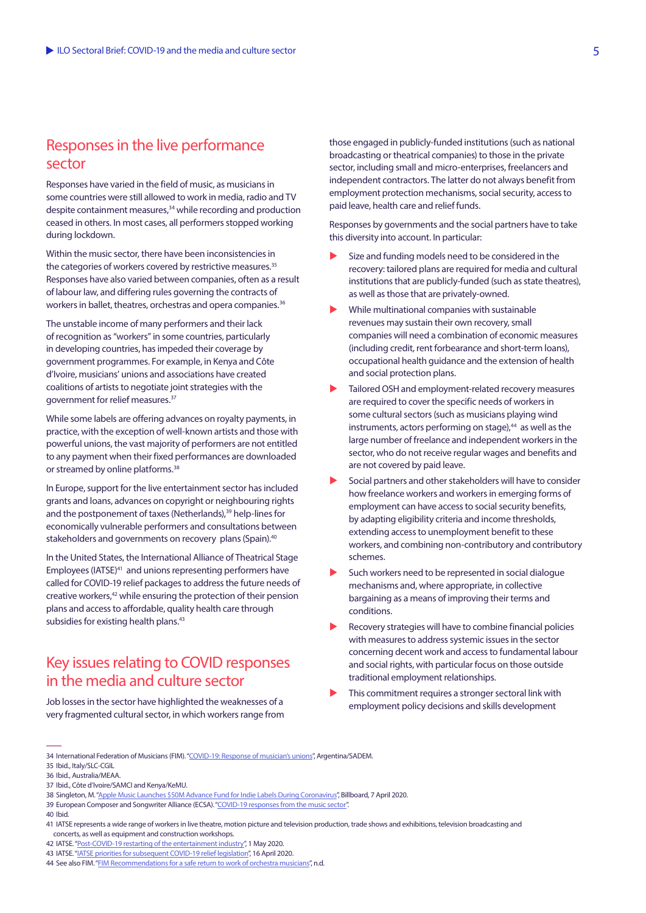## Responses in the live performance sector

Responses have varied in the field of music, as musicians in some countries were still allowed to work in media, radio and TV despite containment measures,<sup>34</sup> while recording and production ceased in others. In most cases, all performers stopped working during lockdown.

Within the music sector, there have been inconsistencies in the categories of workers covered by restrictive measures.<sup>35</sup> Responses have also varied between companies, often as a result of labour law, and differing rules governing the contracts of workers in ballet, theatres, orchestras and opera companies.<sup>36</sup>

The unstable income of many performers and their lack of recognition as "workers" in some countries, particularly in developing countries, has impeded their coverage by government programmes. For example, in Kenya and Côte d'Ivoire, musicians' unions and associations have created coalitions of artists to negotiate joint strategies with the government for relief measures.37

While some labels are offering advances on royalty payments, in practice, with the exception of well-known artists and those with powerful unions, the vast majority of performers are not entitled to any payment when their fixed performances are downloaded or streamed by online platforms.<sup>38</sup>

In Europe, support for the live entertainment sector has included grants and loans, advances on copyright or neighbouring rights and the postponement of taxes (Netherlands),<sup>39</sup> help-lines for economically vulnerable performers and consultations between stakeholders and governments on recovery plans (Spain).<sup>40</sup>

In the United States, the International Alliance of Theatrical Stage Employees (IATSE)<sup>41</sup> and unions representing performers have called for COVID-19 relief packages to address the future needs of creative workers,<sup>42</sup> while ensuring the protection of their pension plans and access to affordable, quality health care through subsidies for existing health plans.<sup>43</sup>

# Key issues relating to COVID responses in the media and culture sector

Job losses in the sector have highlighted the weaknesses of a very fragmented cultural sector, in which workers range from those engaged in publicly-funded institutions (such as national broadcasting or theatrical companies) to those in the private sector, including small and micro-enterprises, freelancers and independent contractors. The latter do not always benefit from employment protection mechanisms, social security, access to paid leave, health care and relief funds.

Responses by governments and the social partners have to take this diversity into account. In particular:

- Size and funding models need to be considered in the recovery: tailored plans are required for media and cultural institutions that are publicly-funded (such as state theatres), as well as those that are privately-owned.
- While multinational companies with sustainable revenues may sustain their own recovery, small companies will need a combination of economic measures (including credit, rent forbearance and short-term loans), occupational health guidance and the extension of health and social protection plans.
- Tailored OSH and employment-related recovery measures are required to cover the specific needs of workers in some cultural sectors (such as musicians playing wind instruments, actors performing on stage),<sup>44</sup> as well as the large number of freelance and independent workers in the sector, who do not receive regular wages and benefits and are not covered by paid leave.
- Social partners and other stakeholders will have to consider how freelance workers and workers in emerging forms of employment can have access to social security benefits, by adapting eligibility criteria and income thresholds, extending access to unemployment benefit to these workers, and combining non-contributory and contributory schemes.
- Such workers need to be represented in social dialogue mechanisms and, where appropriate, in collective bargaining as a means of improving their terms and conditions.
- Recovery strategies will have to combine financial policies with measures to address systemic issues in the sector concerning decent work and access to fundamental labour and social rights, with particular focus on those outside traditional employment relationships.
- This commitment requires a stronger sectoral link with employment policy decisions and skills development

37 Ibid., Côte d'Ivoire/SAMCI and Kenya/KeMU.

40 Ibid.

<sup>34</sup> International Federation of Musicians (FIM). ["COVID-19: Response of musician's unions"](https://www.fim-musicians.org/covid-19-response-of-unions/), Argentina/SADEM.

<sup>35</sup> Ibid., Italy/SLC-CGIL

<sup>36</sup> Ibid., Australia/MEAA.

<sup>38</sup> Singleton, M. ["Apple Music Launches \\$50M Advance Fund for Indie Labels During Coronavirus](https://www.billboard.com/articles/business/digital-and-mobile/9353371/apple-music-advance-fund-indie-labels-coronavirus)", Billboard, 7 April 2020.

<sup>39</sup> European Composer and Songwriter Alliance (ECSA). "[COVID-19 responses from the music sector](http://composeralliance.org/covid-19-responses/)".

<sup>41</sup> IATSE represents a wide range of workers in live theatre, motion picture and television production, trade shows and exhibitions, television broadcasting and concerts, as well as equipment and construction workshops.

<sup>42</sup> IATSE. ["Post-COVID-19 restarting of the entertainment industry"](https://www.iatse728.org/blog/5-1-2020-post-covid-19-restarting-of-the-entertainment-industry), 1 May 2020.

<sup>43</sup> IATSE. ["IATSE priorities for subsequent COVID-19 relief legislation"](https://www.iatse.net/news/iatse-priorities-subsequent-covid-19-relief-legislation), 16 April 2020.

<sup>44</sup> See also FIM. ["FIM Recommendations for a safe return to work of orchestra musicians](https://www.fim-musicians.org/wp-content/uploads/fim-recommendations-safe-return-to-work-EN.pdf?utm_source=FIM+News+%28EN%29&utm_campaign=7c570f8456-RSS_EMAIL_CAMPAIGN&utm_medium=email&utm_term=0_c7643b1e81-7c570f8456-1265697693)", n.d.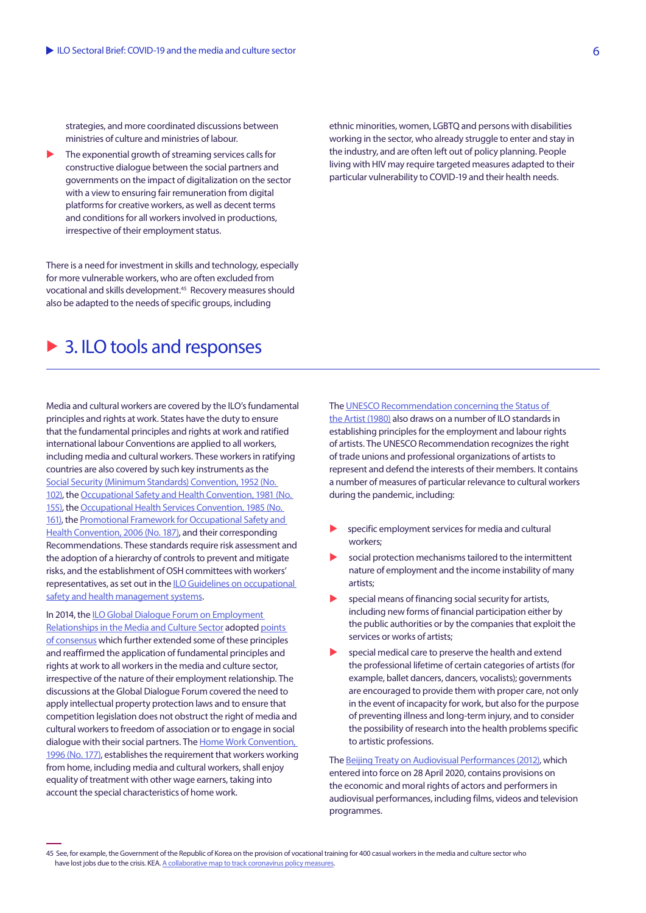strategies, and more coordinated discussions between ministries of culture and ministries of labour.

The exponential growth of streaming services calls for constructive dialogue between the social partners and governments on the impact of digitalization on the sector with a view to ensuring fair remuneration from digital platforms for creative workers, as well as decent terms and conditions for all workers involved in productions, irrespective of their employment status.

There is a need for investment in skills and technology, especially for more vulnerable workers, who are often excluded from vocational and skills development.45 Recovery measures should also be adapted to the needs of specific groups, including

# $\triangleright$  3. ILO tools and responses

Media and cultural workers are covered by the ILO's fundamental principles and rights at work. States have the duty to ensure that the fundamental principles and rights at work and ratified international labour Conventions are applied to all workers, including media and cultural workers. These workers in ratifying countries are also covered by such key instruments as the [Social Security \(Minimum Standards\) Convention, 1952 \(No.](https://www.ilo.org/dyn/normlex/en/f?p=NORMLEXPUB:12100:0::NO::P12100_INSTRUMENT_ID:312247)  [102\)](https://www.ilo.org/dyn/normlex/en/f?p=NORMLEXPUB:12100:0::NO::P12100_INSTRUMENT_ID:312247), the [Occupational Safety and Health Convention, 1981 \(No.](https://www.ilo.org/dyn/normlex/en/f?p=NORMLEXPUB:12100:0::NO:12100:P12100_INSTRUMENT_ID:312300:NO)  [155\)](https://www.ilo.org/dyn/normlex/en/f?p=NORMLEXPUB:12100:0::NO:12100:P12100_INSTRUMENT_ID:312300:NO), the [Occupational Health Services Convention, 1985 \(No.](https://www.ilo.org/dyn/normlex/en/f?p=NORMLEXPUB:12100:0::NO:12100:P12100_INSTRUMENT_ID:312306:NO)  [161\),](https://www.ilo.org/dyn/normlex/en/f?p=NORMLEXPUB:12100:0::NO:12100:P12100_INSTRUMENT_ID:312306:NO) the [Promotional Framework for Occupational Safety and](https://www.ilo.org/dyn/normlex/en/f?p=NORMLEXPUB:12100:0::NO:12100:P12100_INSTRUMENT_ID:312332:NO)  [Health Convention, 2006 \(No. 187\),](https://www.ilo.org/dyn/normlex/en/f?p=NORMLEXPUB:12100:0::NO:12100:P12100_INSTRUMENT_ID:312332:NO) and their corresponding Recommendations. These standards require risk assessment and the adoption of a hierarchy of controls to prevent and mitigate risks, and the establishment of OSH committees with workers' representatives, as set out in the [ILO Guidelines on occupational](https://www.ilo.org/global/topics/safety-and-health-at-work/normative-instruments/WCMS_107727/lang--en/index.htm)  safety and health management systems.

In 2014, the [ILO Global Dialogue Forum on Employment](https://www.ilo.org/sector/activities/sectoral-meetings/WCMS_234991/lang--en/index.htm)  [Relationships in the Media and Culture Sector](https://www.ilo.org/sector/activities/sectoral-meetings/WCMS_234991/lang--en/index.htm) adopted [points](https://www.ilo.org/sector/activities/sectoral-meetings/WCMS_243842/lang--en/index.htm)  [of consensus](https://www.ilo.org/sector/activities/sectoral-meetings/WCMS_243842/lang--en/index.htm) which further extended some of these principles and reaffirmed the application of fundamental principles and rights at work to all workers in the media and culture sector, irrespective of the nature of their employment relationship. The discussions at the Global Dialogue Forum covered the need to apply intellectual property protection laws and to ensure that competition legislation does not obstruct the right of media and cultural workers to freedom of association or to engage in social dialogue with their social partners. The [Home Work Convention,](https://www.ilo.org/dyn/normlex/en/f?p=NORMLEXPUB:12100:0::NO:12100:P12100_INSTRUMENT_ID:312322:NO)  [1996 \(No. 177\),](https://www.ilo.org/dyn/normlex/en/f?p=NORMLEXPUB:12100:0::NO:12100:P12100_INSTRUMENT_ID:312322:NO) establishes the requirement that workers working from home, including media and cultural workers, shall enjoy equality of treatment with other wage earners, taking into account the special characteristics of home work.

ethnic minorities, women, LGBTQ and persons with disabilities working in the sector, who already struggle to enter and stay in the industry, and are often left out of policy planning. People living with HIV may require targeted measures adapted to their particular vulnerability to COVID-19 and their health needs.

The [UNESCO Recommendation concerning the Status of](http://portal.unesco.org/en/ev.php-URL_ID=13138&URL_DO=DO_TOPIC&URL_SECTION=201.html)  [the Artist \(1980\)](http://portal.unesco.org/en/ev.php-URL_ID=13138&URL_DO=DO_TOPIC&URL_SECTION=201.html) also draws on a number of ILO standards in establishing principles for the employment and labour rights of artists. The UNESCO Recommendation recognizes the right of trade unions and professional organizations of artists to represent and defend the interests of their members. It contains a number of measures of particular relevance to cultural workers during the pandemic, including:

- specific employment services for media and cultural workers;
- social protection mechanisms tailored to the intermittent nature of employment and the income instability of many artists;
- special means of financing social security for artists, including new forms of financial participation either by the public authorities or by the companies that exploit the services or works of artists;
- special medical care to preserve the health and extend the professional lifetime of certain categories of artists (for example, ballet dancers, dancers, vocalists); governments are encouraged to provide them with proper care, not only in the event of incapacity for work, but also for the purpose of preventing illness and long-term injury, and to consider the possibility of research into the health problems specific to artistic professions.

The [Beijing Treaty on Audiovisual Performances \(2012\)](https://www.wipo.int/beijing_treaty/en/), which entered into force on 28 April 2020, contains provisions on the economic and moral rights of actors and performers in audiovisual performances, including films, videos and television programmes.

<sup>45</sup> See, for example, the Government of the Republic of Korea on the provision of vocational training for 400 casual workers in the media and culture sector who have lost jobs due to the crisis. KEA. [A collaborative map to track coronavirus policy measures.](https://keanet.eu/collaborative-map-covid-19-policy-measures/)